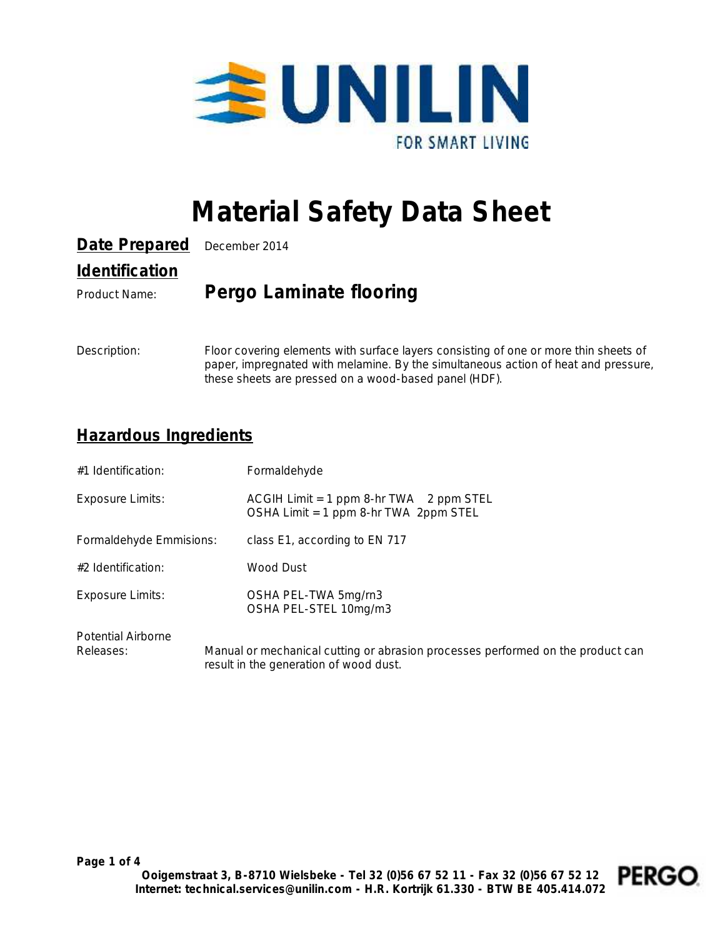

# **Material Safety Data Sheet**

| Date Prepared December 2014         |                         |
|-------------------------------------|-------------------------|
| <i><u><b>Identification</b></u></i> |                         |
| Product Name:                       | Pergo Laminate flooring |

Description: Floor covering elements with surface layers consisting of one or more thin sheets of paper, impregnated with melamine. By the simultaneous action of heat and pressure, these sheets are pressed on a wood-based panel (HDF).

#### **Hazardous Ingredients**

| #1 Identification:                     | Formaldehyde                                                                                                              |
|----------------------------------------|---------------------------------------------------------------------------------------------------------------------------|
| <b>Exposure Limits:</b>                | ACGIH Limit = 1 ppm 8-hr TWA 2 ppm STEL<br>OSHA Limit = 1 ppm 8-hr TWA 2ppm STEL                                          |
| Formaldehyde Emmisions:                | class E1, according to EN 717                                                                                             |
| $#2$ Identification:                   | Wood Dust                                                                                                                 |
| Exposure Limits:                       | OSHA PEL-TWA 5mg/rn3<br>OSHA PEL-STEL 10mg/m3                                                                             |
| <b>Potential Airborne</b><br>Releases: | Manual or mechanical cutting or abrasion processes performed on the product can<br>result in the generation of wood dust. |

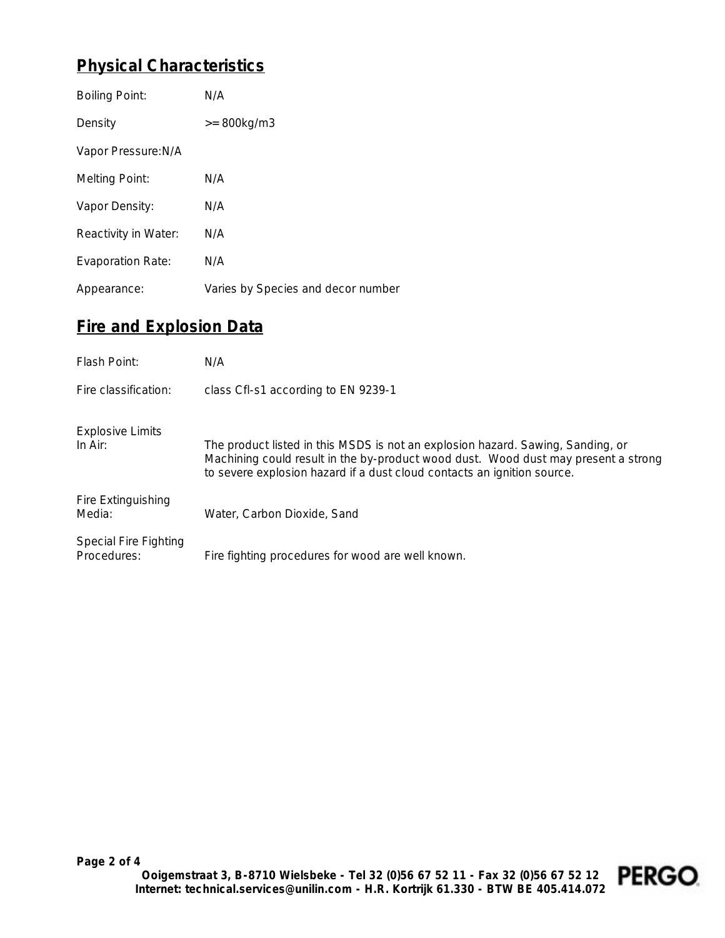## **Physical Characteristics**

| <b>Boiling Point:</b>    | N/A                                |
|--------------------------|------------------------------------|
| Density                  | $>= 800kg/m3$                      |
| Vapor Pressure: N/A      |                                    |
| <b>Melting Point:</b>    | N/A                                |
| Vapor Density:           | N/A                                |
| Reactivity in Water:     | N/A                                |
| <b>Evaporation Rate:</b> | N/A                                |
| Appearance:              | Varies by Species and decor number |

# **Fire and Explosion Data**

| Flash Point:                                | N/A                                                                                                                                                                                                                                              |
|---------------------------------------------|--------------------------------------------------------------------------------------------------------------------------------------------------------------------------------------------------------------------------------------------------|
| Fire classification:                        | class CfI-s1 according to EN 9239-1                                                                                                                                                                                                              |
| <b>Explosive Limits</b><br>In $Air:$        | The product listed in this MSDS is not an explosion hazard. Sawing, Sanding, or<br>Machining could result in the by-product wood dust. Wood dust may present a strong<br>to severe explosion hazard if a dust cloud contacts an ignition source. |
| Fire Extinguishing<br>Media:                | Water, Carbon Dioxide, Sand                                                                                                                                                                                                                      |
| <b>Special Fire Fighting</b><br>Procedures: | Fire fighting procedures for wood are well known.                                                                                                                                                                                                |

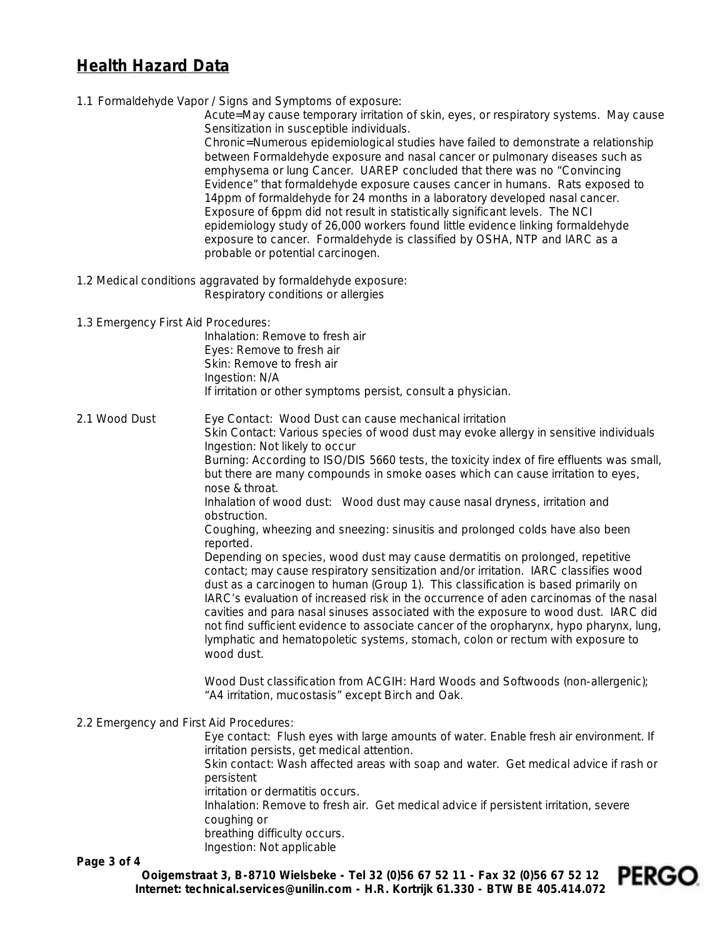#### **Health Hazard Data**

1.1 Formaldehyde Vapor / Signs and Symptoms of exposure:

Acute=May cause temporary irritation of skin, eyes, or respiratory systems. May cause Sensitization in susceptible individuals.

Chronic=Numerous epidemiological studies have failed to demonstrate a relationship between Formaldehyde exposure and nasal cancer or pulmonary diseases such as emphysema or lung Cancer. UAREP concluded that there was no "Convincing Evidence" that formaldehyde exposure causes cancer in humans. Rats exposed to 14ppm of formaldehyde for 24 months in a laboratory developed nasal cancer. Exposure of 6ppm did not result in statistically significant levels. The NCI epidemiology study of 26,000 workers found little evidence linking formaldehyde exposure to cancer. Formaldehyde is classified by OSHA, NTP and IARC as a probable or potential carcinogen.

1.2 Medical conditions aggravated by formaldehyde exposure: Respiratory conditions or allergies

1.3 Emergency First Aid Procedures:

*Inhalation*: Remove to fresh air *Eyes:* Remove to fresh air *Skin*: Remove to fresh air *Ingestion:* N/A If irritation or other symptoms persist, consult a physician.

2.1 Wood Dust *Eye Contact:* Wood Dust can cause mechanical irritation *Skin Contact:* Various species of wood dust may evoke allergy in sensitive individuals *Ingestion:* Not likely to occur *Burning:* According to ISO/DIS 5660 tests, the toxicity index of fire effluents was small, but there are many compounds in smoke oases which can cause irritation to eyes, nose & throat. *Inhalation of wood dust:* Wood dust may cause nasal dryness, irritation and obstruction. Coughing, wheezing and sneezing: sinusitis and prolonged colds have also been reported. Depending on species, wood dust may cause dermatitis on prolonged, repetitive

contact; may cause respiratory sensitization and/or irritation. IARC classifies wood dust as a carcinogen to human (Group 1). This classification is based primarily on IARC's evaluation of increased risk in the occurrence of aden carcinomas of the nasal cavities and para nasal sinuses associated with the exposure to wood dust. IARC did not find sufficient evidence to associate cancer of the oropharynx, hypo pharynx, lung, lymphatic and hematopoletic systems, stomach, colon or rectum with exposure to wood dust.

*Wood Dust classification from ACGIH*: Hard Woods and Softwoods (non-allergenic); "A4 irritation, mucostasis" except Birch and Oak.

2.2 Emergency and First Aid Procedures:

*Eye contact:* Flush eyes with large amounts of water. Enable fresh air environment. If irritation persists, get medical attention.

*Skin contact:* Wash affected areas with soap and water. Get medical advice if rash or persistent

irritation or dermatitis occurs.

*Inhalation:* Remove to fresh air. Get medical advice if persistent irritation, severe coughing or

breathing difficulty occurs. *Ingestion:* Not applicable

**Page 3 of 4**

**Ooigemstraat 3, B-8710 Wielsbeke - Tel 32 (0)56 67 52 11 - Fax 32 (0)56 67 52 12 Internet: technical.services@unilin.com - H.R. Kortrijk 61.330 - BTW BE 405.414.072**